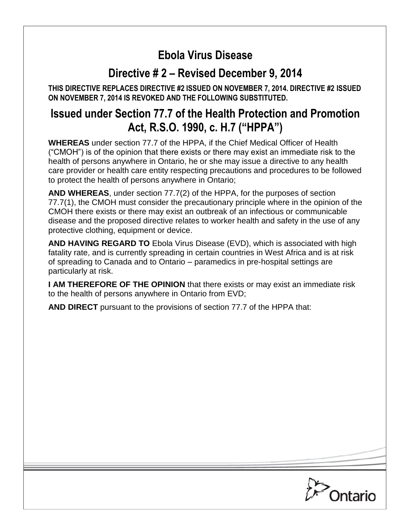# **Ebola Virus Disease**

# **Directive # 2 – Revised December 9, 2014**

**THIS DIRECTIVE REPLACES DIRECTIVE #2 ISSUED ON NOVEMBER 7, 2014. DIRECTIVE #2 ISSUED ON NOVEMBER 7, 2014 IS REVOKED AND THE FOLLOWING SUBSTITUTED.**

## **Issued under Section 77.7 of the Health Protection and Promotion Act, R.S.O. 1990, c. H.7 ("HPPA")**

**WHEREAS** under section 77.7 of the HPPA, if the Chief Medical Officer of Health ("CMOH") is of the opinion that there exists or there may exist an immediate risk to the health of persons anywhere in Ontario, he or she may issue a directive to any health care provider or health care entity respecting precautions and procedures to be followed to protect the health of persons anywhere in Ontario;

**AND WHEREAS**, under section 77.7(2) of the HPPA, for the purposes of section 77.7(1), the CMOH must consider the precautionary principle where in the opinion of the CMOH there exists or there may exist an outbreak of an infectious or communicable disease and the proposed directive relates to worker health and safety in the use of any protective clothing, equipment or device.

**AND HAVING REGARD TO** Ebola Virus Disease (EVD), which is associated with high fatality rate, and is currently spreading in certain countries in West Africa and is at risk of spreading to Canada and to Ontario – paramedics in pre-hospital settings are particularly at risk.

**I AM THEREFORE OF THE OPINION** that there exists or may exist an immediate risk to the health of persons anywhere in Ontario from EVD;

**AND DIRECT** pursuant to the provisions of section 77.7 of the HPPA that:

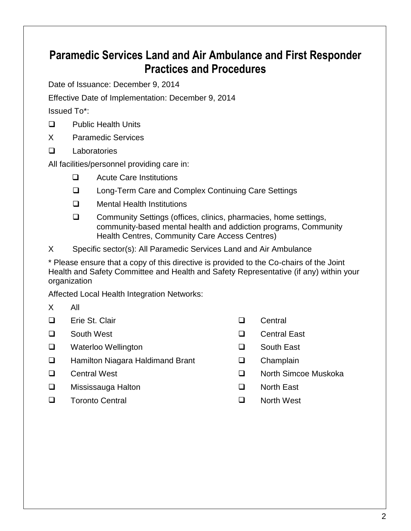# **Paramedic Services Land and Air Ambulance and First Responder Practices and Procedures**

Date of Issuance: December 9, 2014

Effective Date of Implementation: December 9, 2014

Issued To\*:

- □ Public Health Units
- X Paramedic Services
- Laboratories

All facilities/personnel providing care in:

- □ Acute Care Institutions
- □ Long-Term Care and Complex Continuing Care Settings
- **Q** Mental Health Institutions
- □ Community Settings (offices, clinics, pharmacies, home settings, community-based mental health and addiction programs, Community Health Centres, Community Care Access Centres)
- X Specific sector(s): All Paramedic Services Land and Air Ambulance

\* Please ensure that a copy of this directive is provided to the Co-chairs of the Joint Health and Safety Committee and Health and Safety Representative (if any) within your organization

Affected Local Health Integration Networks:

- X All
- Erie St. Clair Central
- 
- Waterloo Wellington South East
- □ Hamilton Niagara Haldimand Brant □ Champlain
- 
- □ Mississauga Halton North East
- Toronto Central North West
- 
- □ South West Contral East
	-
	-
- □ Central West Simple Transference Muskoka
	-
	-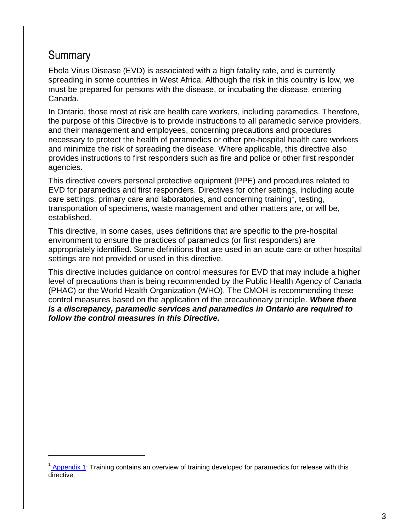## **Summary**

 $\overline{a}$ 

Ebola Virus Disease (EVD) is associated with a high fatality rate, and is currently spreading in some countries in West Africa. Although the risk in this country is low, we must be prepared for persons with the disease, or incubating the disease, entering Canada.

In Ontario, those most at risk are health care workers, including paramedics. Therefore, the purpose of this Directive is to provide instructions to all paramedic service providers, and their management and employees, concerning precautions and procedures necessary to protect the health of paramedics or other pre-hospital health care workers and minimize the risk of spreading the disease. Where applicable, this directive also provides instructions to first responders such as fire and police or other first responder agencies.

This directive covers personal protective equipment (PPE) and procedures related to EVD for paramedics and first responders. Directives for other settings, including acute care settings, primary care and laboratories, and concerning training<sup>1</sup>, testing, transportation of specimens, waste management and other matters are, or will be, established.

This directive, in some cases, uses definitions that are specific to the pre-hospital environment to ensure the practices of paramedics (or first responders) are appropriately identified. Some definitions that are used in an acute care or other hospital settings are not provided or used in this directive.

This directive includes guidance on control measures for EVD that may include a higher level of precautions than is being recommended by the Public Health Agency of Canada (PHAC) or the World Health Organization (WHO). The CMOH is recommending these control measures based on the application of the precautionary principle. *Where there is a discrepancy, paramedic services and paramedics in Ontario are required to follow the control measures in this Directive.*

<sup>&</sup>lt;sup>1</sup> Appendix 1: Training contains an overview of training developed for paramedics for release with this directive.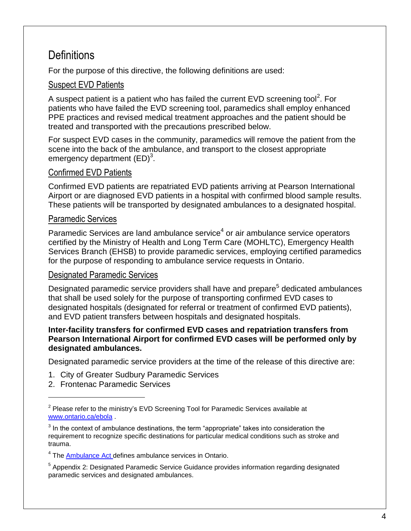## **Definitions**

For the purpose of this directive, the following definitions are used:

### Suspect EVD Patients

A suspect patient is a patient who has failed the current EVD screening tool<sup>2</sup>. For patients who have failed the EVD screening tool, paramedics shall employ enhanced PPE practices and revised medical treatment approaches and the patient should be treated and transported with the precautions prescribed below.

For suspect EVD cases in the community, paramedics will remove the patient from the scene into the back of the ambulance, and transport to the closest appropriate emergency department (ED)<sup>3</sup>.

### Confirmed EVD Patients

Confirmed EVD patients are repatriated EVD patients arriving at Pearson International Airport or are diagnosed EVD patients in a hospital with confirmed blood sample results. These patients will be transported by designated ambulances to a designated hospital.

### Paramedic Services

Paramedic Services are land ambulance service $^4$  or air ambulance service operators certified by the Ministry of Health and Long Term Care (MOHLTC), Emergency Health Services Branch (EHSB) to provide paramedic services, employing certified paramedics for the purpose of responding to ambulance service requests in Ontario.

### Designated Paramedic Services

Designated paramedic service providers shall have and prepare<sup>5</sup> dedicated ambulances that shall be used solely for the purpose of transporting confirmed EVD cases to designated hospitals (designated for referral or treatment of confirmed EVD patients), and EVD patient transfers between hospitals and designated hospitals.

#### **Inter-facility transfers for confirmed EVD cases and repatriation transfers from Pearson International Airport for confirmed EVD cases will be performed only by designated ambulances.**

Designated paramedic service providers at the time of the release of this directive are:

- 1. City of Greater Sudbury Paramedic Services
- 2. Frontenac Paramedic Services

 $\overline{a}$ 

 $2$  Please refer to the ministry's EVD Screening Tool for Paramedic Services available at [www.ontario.ca/ebola](http://www.ontario.ca/ebola) .

 $3$  In the context of ambulance destinations, the term "appropriate" takes into consideration the requirement to recognize specific destinations for particular medical conditions such as stroke and trauma.

<sup>&</sup>lt;sup>4</sup> The **Ambulance Act defines ambulance services in Ontario.** 

<sup>&</sup>lt;sup>5</sup> Appendix 2: Designated Paramedic Service Guidance provides information regarding designated paramedic services and designated ambulances.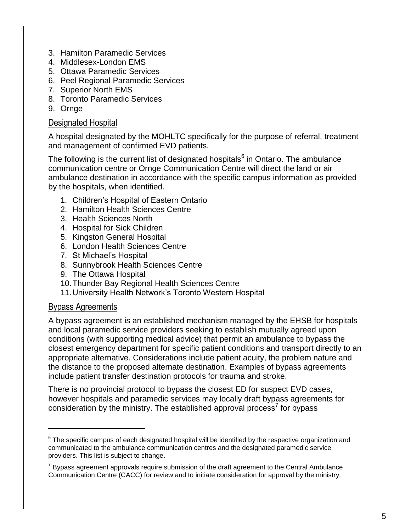- 3. Hamilton Paramedic Services
- 4. Middlesex-London EMS
- 5. Ottawa Paramedic Services
- 6. Peel Regional Paramedic Services
- 7. Superior North EMS
- 8. Toronto Paramedic Services
- 9. Ornge

## Designated Hospital

A hospital designated by the MOHLTC specifically for the purpose of referral, treatment and management of confirmed EVD patients.

The following is the current list of designated hospitals $^6$  in Ontario. The ambulance communication centre or Ornge Communication Centre will direct the land or air ambulance destination in accordance with the specific campus information as provided by the hospitals, when identified.

- 1. Children's Hospital of Eastern Ontario
- 2. Hamilton Health Sciences Centre
- 3. Health Sciences North
- 4. Hospital for Sick Children
- 5. Kingston General Hospital
- 6. London Health Sciences Centre
- 7. St Michael's Hospital
- 8. Sunnybrook Health Sciences Centre
- 9. The Ottawa Hospital
- 10.Thunder Bay Regional Health Sciences Centre
- 11.University Health Network's Toronto Western Hospital

### Bypass Agreements

 $\overline{a}$ 

A bypass agreement is an established mechanism managed by the EHSB for hospitals and local paramedic service providers seeking to establish mutually agreed upon conditions (with supporting medical advice) that permit an ambulance to bypass the closest emergency department for specific patient conditions and transport directly to an appropriate alternative. Considerations include patient acuity, the problem nature and the distance to the proposed alternate destination. Examples of bypass agreements include patient transfer destination protocols for trauma and stroke.

There is no provincial protocol to bypass the closest ED for suspect EVD cases, however hospitals and paramedic services may locally draft bypass agreements for consideration by the ministry. The established approval process<sup>7</sup> for bypass

 $^6$  The specific campus of each designated hospital will be identified by the respective organization and communicated to the ambulance communication centres and the designated paramedic service providers. This list is subject to change.

 $7$  Bypass agreement approvals require submission of the draft agreement to the Central Ambulance Communication Centre (CACC) for review and to initiate consideration for approval by the ministry.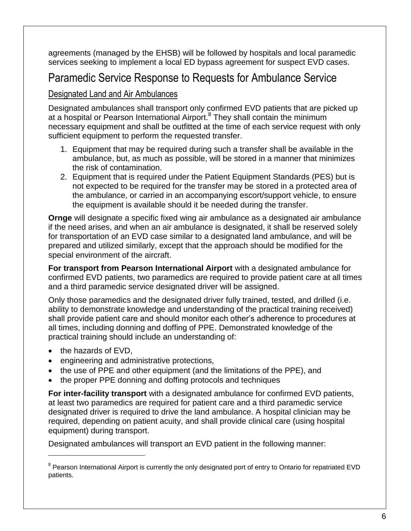agreements (managed by the EHSB) will be followed by hospitals and local paramedic services seeking to implement a local ED bypass agreement for suspect EVD cases.

# Paramedic Service Response to Requests for Ambulance Service

## Designated Land and Air Ambulances

Designated ambulances shall transport only confirmed EVD patients that are picked up at a hospital or Pearson International Airport.<sup>8</sup> They shall contain the minimum necessary equipment and shall be outfitted at the time of each service request with only sufficient equipment to perform the requested transfer.

- 1. Equipment that may be required during such a transfer shall be available in the ambulance, but, as much as possible, will be stored in a manner that minimizes the risk of contamination.
- 2. Equipment that is required under the Patient Equipment Standards (PES) but is not expected to be required for the transfer may be stored in a protected area of the ambulance, or carried in an accompanying escort/support vehicle, to ensure the equipment is available should it be needed during the transfer.

**Ornge** will designate a specific fixed wing air ambulance as a designated air ambulance if the need arises, and when an air ambulance is designated, it shall be reserved solely for transportation of an EVD case similar to a designated land ambulance, and will be prepared and utilized similarly, except that the approach should be modified for the special environment of the aircraft.

**For transport from Pearson International Airport** with a designated ambulance for confirmed EVD patients, two paramedics are required to provide patient care at all times and a third paramedic service designated driver will be assigned.

Only those paramedics and the designated driver fully trained, tested, and drilled (i.e. ability to demonstrate knowledge and understanding of the practical training received) shall provide patient care and should monitor each other's adherence to procedures at all times, including donning and doffing of PPE. Demonstrated knowledge of the practical training should include an understanding of:

• the hazards of EVD,

 $\overline{a}$ 

- engineering and administrative protections,
- the use of PPE and other equipment (and the limitations of the PPE), and
- the proper PPE donning and doffing protocols and techniques

**For inter-facility transport** with a designated ambulance for confirmed EVD patients, at least two paramedics are required for patient care and a third paramedic service designated driver is required to drive the land ambulance. A hospital clinician may be required, depending on patient acuity, and shall provide clinical care (using hospital equipment) during transport.

Designated ambulances will transport an EVD patient in the following manner:

<sup>&</sup>lt;sup>8</sup> Pearson International Airport is currently the only designated port of entry to Ontario for repatriated EVD patients.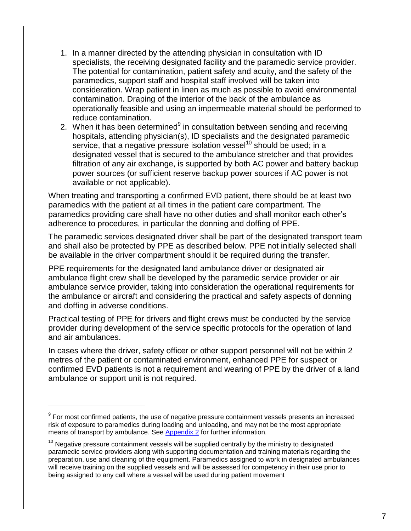- 1. In a manner directed by the attending physician in consultation with ID specialists, the receiving designated facility and the paramedic service provider. The potential for contamination, patient safety and acuity, and the safety of the paramedics, support staff and hospital staff involved will be taken into consideration. Wrap patient in linen as much as possible to avoid environmental contamination. Draping of the interior of the back of the ambulance as operationally feasible and using an impermeable material should be performed to reduce contamination.
- 2. When it has been determined $9$  in consultation between sending and receiving hospitals, attending physician(s), ID specialists and the designated paramedic service, that a negative pressure isolation vessel<sup>10</sup> should be used; in a designated vessel that is secured to the ambulance stretcher and that provides filtration of any air exchange, is supported by both AC power and battery backup power sources (or sufficient reserve backup power sources if AC power is not available or not applicable).

When treating and transporting a confirmed EVD patient, there should be at least two paramedics with the patient at all times in the patient care compartment. The paramedics providing care shall have no other duties and shall monitor each other's adherence to procedures, in particular the donning and doffing of PPE.

The paramedic services designated driver shall be part of the designated transport team and shall also be protected by PPE as described below. PPE not initially selected shall be available in the driver compartment should it be required during the transfer.

PPE requirements for the designated land ambulance driver or designated air ambulance flight crew shall be developed by the paramedic service provider or air ambulance service provider, taking into consideration the operational requirements for the ambulance or aircraft and considering the practical and safety aspects of donning and doffing in adverse conditions.

Practical testing of PPE for drivers and flight crews must be conducted by the service provider during development of the service specific protocols for the operation of land and air ambulances.

In cases where the driver, safety officer or other support personnel will not be within 2 metres of the patient or contaminated environment, enhanced PPE for suspect or confirmed EVD patients is not a requirement and wearing of PPE by the driver of a land ambulance or support unit is not required.

 $\overline{a}$ 

 $9$  For most confirmed patients, the use of negative pressure containment vessels presents an increased risk of exposure to paramedics during loading and unloading, and may not be the most appropriate means of transport by ambulance. See Appendix 2 for further information.

 $10$  Negative pressure containment vessels will be supplied centrally by the ministry to designated paramedic service providers along with supporting documentation and training materials regarding the preparation, use and cleaning of the equipment. Paramedics assigned to work in designated ambulances will receive training on the supplied vessels and will be assessed for competency in their use prior to being assigned to any call where a vessel will be used during patient movement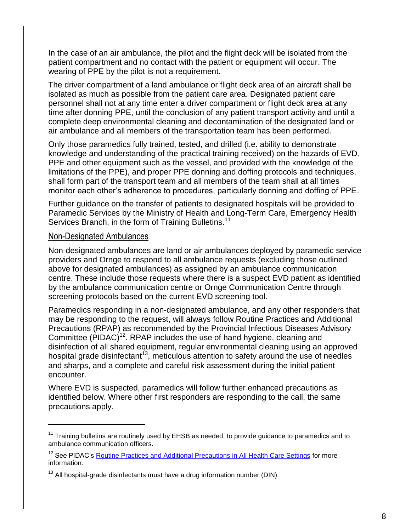In the case of an air ambulance, the pilot and the flight deck will be isolated from the patient compartment and no contact with the patient or equipment will occur. The wearing of PPE by the pilot is not a requirement.

The driver compartment of a land ambulance or flight deck area of an aircraft shall be isolated as much as possible from the patient care area. Designated patient care personnel shall not at any time enter a driver compartment or flight deck area at any time after donning PPE, until the conclusion of any patient transport activity and until a complete deep environmental cleaning and decontamination of the designated land or air ambulance and all members of the transportation team has been performed.

Only those paramedics fully trained, tested, and drilled (i.e. ability to demonstrate knowledge and understanding of the practical training received) on the hazards of EVD, PPE and other equipment such as the vessel, and provided with the knowledge of the limitations of the PPE), and proper PPE donning and doffing protocols and techniques, shall form part of the transport team and all members of the team shall at all times monitor each other's adherence to procedures, particularly donning and doffing of PPE.

Further guidance on the transfer of patients to designated hospitals will be provided to Paramedic Services by the Ministry of Health and Long-Term Care, Emergency Health Services Branch, in the form of Training Bulletins.<sup>11</sup>

### Non-Designated Ambulances

 $\overline{a}$ 

Non-designated ambulances are land or air ambulances deployed by paramedic service providers and Ornge to respond to all ambulance requests (excluding those outlined above for designated ambulances) as assigned by an ambulance communication centre. These include those requests where there is a suspect EVD patient as identified by the ambulance communication centre or Ornge Communication Centre through screening protocols based on the current EVD screening tool.

Paramedics responding in a non-designated ambulance, and any other responders that may be responding to the request, will always follow Routine Practices and Additional Precautions (RPAP) as recommended by the Provincial Infectious Diseases Advisory Committee  $(PIDAC)^{12}$ . RPAP includes the use of hand hygiene, cleaning and disinfection of all shared equipment, regular environmental cleaning using an approved hospital grade disinfectant<sup>13</sup>, meticulous attention to safety around the use of needles and sharps, and a complete and careful risk assessment during the initial patient encounter.

Where EVD is suspected, paramedics will follow further enhanced precautions as identified below. Where other first responders are responding to the call, the same precautions apply.

 $11$  Training bulletins are routinely used by EHSB as needed, to provide guidance to paramedics and to ambulance communication officers.

<sup>&</sup>lt;sup>12</sup> See PIDAC's [Routine Practices and Additional Precautions in All Health Care Settings](http://www.publichealthontario.ca/en/eRepository/RPAP_All_HealthCare_Settings_Eng2012.pdf) for more information.

 $13$  All hospital-grade disinfectants must have a drug information number (DIN)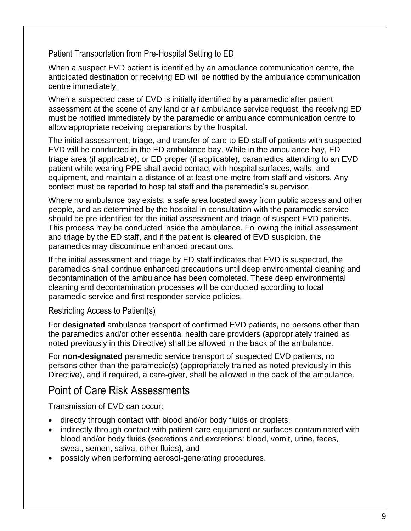## Patient Transportation from Pre-Hospital Setting to ED

When a suspect EVD patient is identified by an ambulance communication centre, the anticipated destination or receiving ED will be notified by the ambulance communication centre immediately.

When a suspected case of EVD is initially identified by a paramedic after patient assessment at the scene of any land or air ambulance service request, the receiving ED must be notified immediately by the paramedic or ambulance communication centre to allow appropriate receiving preparations by the hospital.

The initial assessment, triage, and transfer of care to ED staff of patients with suspected EVD will be conducted in the ED ambulance bay. While in the ambulance bay, ED triage area (if applicable), or ED proper (if applicable), paramedics attending to an EVD patient while wearing PPE shall avoid contact with hospital surfaces, walls, and equipment, and maintain a distance of at least one metre from staff and visitors. Any contact must be reported to hospital staff and the paramedic's supervisor.

Where no ambulance bay exists, a safe area located away from public access and other people, and as determined by the hospital in consultation with the paramedic service should be pre-identified for the initial assessment and triage of suspect EVD patients. This process may be conducted inside the ambulance. Following the initial assessment and triage by the ED staff, and if the patient is **cleared** of EVD suspicion, the paramedics may discontinue enhanced precautions.

If the initial assessment and triage by ED staff indicates that EVD is suspected, the paramedics shall continue enhanced precautions until deep environmental cleaning and decontamination of the ambulance has been completed. These deep environmental cleaning and decontamination processes will be conducted according to local paramedic service and first responder service policies.

### Restricting Access to Patient(s)

For **designated** ambulance transport of confirmed EVD patients, no persons other than the paramedics and/or other essential health care providers (appropriately trained as noted previously in this Directive) shall be allowed in the back of the ambulance.

For **non-designated** paramedic service transport of suspected EVD patients, no persons other than the paramedic(s) (appropriately trained as noted previously in this Directive), and if required, a care-giver, shall be allowed in the back of the ambulance.

# Point of Care Risk Assessments

Transmission of EVD can occur:

- directly through contact with blood and/or body fluids or droplets,
- indirectly through contact with patient care equipment or surfaces contaminated with blood and/or body fluids (secretions and excretions: blood, vomit, urine, feces, sweat, semen, saliva, other fluids), and
- possibly when performing aerosol-generating procedures.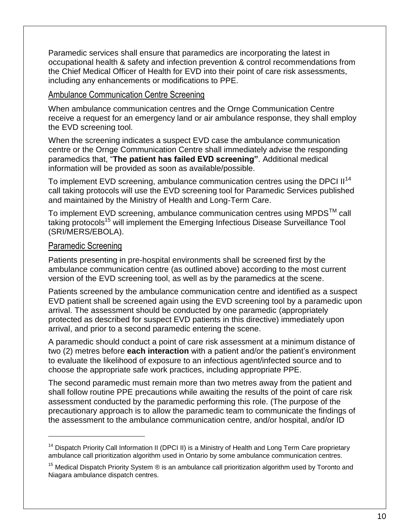Paramedic services shall ensure that paramedics are incorporating the latest in occupational health & safety and infection prevention & control recommendations from the Chief Medical Officer of Health for EVD into their point of care risk assessments, including any enhancements or modifications to PPE.

### Ambulance Communication Centre Screening

When ambulance communication centres and the Ornge Communication Centre receive a request for an emergency land or air ambulance response, they shall employ the EVD screening tool.

When the screening indicates a suspect EVD case the ambulance communication centre or the Ornge Communication Centre shall immediately advise the responding paramedics that, "**The patient has failed EVD screening"**. Additional medical information will be provided as soon as available/possible.

To implement EVD screening, ambulance communication centres using the DPCI II<sup>14</sup> call taking protocols will use the EVD screening tool for Paramedic Services published and maintained by the Ministry of Health and Long-Term Care.

To implement EVD screening, ambulance communication centres using MPDS $^{\text{IM}}$  call taking protocols<sup>15</sup> will implement the Emerging Infectious Disease Surveillance Tool (SRI/MERS/EBOLA).

### Paramedic Screening

 $\overline{a}$ 

Patients presenting in pre-hospital environments shall be screened first by the ambulance communication centre (as outlined above) according to the most current version of the EVD screening tool, as well as by the paramedics at the scene.

Patients screened by the ambulance communication centre and identified as a suspect EVD patient shall be screened again using the EVD screening tool by a paramedic upon arrival. The assessment should be conducted by one paramedic (appropriately protected as described for suspect EVD patients in this directive) immediately upon arrival, and prior to a second paramedic entering the scene.

A paramedic should conduct a point of care risk assessment at a minimum distance of two (2) metres before **each interaction** with a patient and/or the patient's environment to evaluate the likelihood of exposure to an infectious agent/infected source and to choose the appropriate safe work practices, including appropriate PPE.

The second paramedic must remain more than two metres away from the patient and shall follow routine PPE precautions while awaiting the results of the point of care risk assessment conducted by the paramedic performing this role. (The purpose of the precautionary approach is to allow the paramedic team to communicate the findings of the assessment to the ambulance communication centre, and/or hospital, and/or ID

<sup>&</sup>lt;sup>14</sup> Dispatch Priority Call Information II (DPCI II) is a Ministry of Health and Long Term Care proprietary ambulance call prioritization algorithm used in Ontario by some ambulance communication centres.

<sup>&</sup>lt;sup>15</sup> Medical Dispatch Priority System  $\mathcal D$  is an ambulance call prioritization algorithm used by Toronto and Niagara ambulance dispatch centres.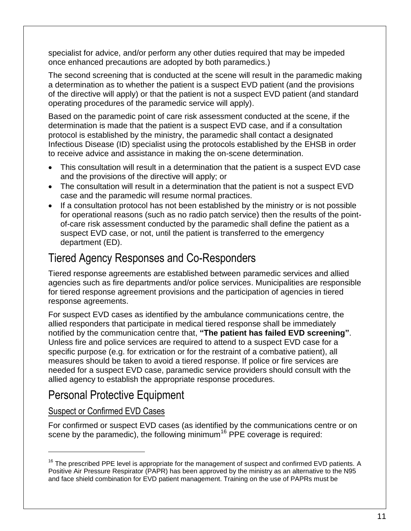specialist for advice, and/or perform any other duties required that may be impeded once enhanced precautions are adopted by both paramedics.)

The second screening that is conducted at the scene will result in the paramedic making a determination as to whether the patient is a suspect EVD patient (and the provisions of the directive will apply) or that the patient is not a suspect EVD patient (and standard operating procedures of the paramedic service will apply).

Based on the paramedic point of care risk assessment conducted at the scene, if the determination is made that the patient is a suspect EVD case, and if a consultation protocol is established by the ministry, the paramedic shall contact a designated Infectious Disease (ID) specialist using the protocols established by the EHSB in order to receive advice and assistance in making the on-scene determination.

- This consultation will result in a determination that the patient is a suspect EVD case and the provisions of the directive will apply; or
- The consultation will result in a determination that the patient is not a suspect EVD case and the paramedic will resume normal practices.
- If a consultation protocol has not been established by the ministry or is not possible for operational reasons (such as no radio patch service) then the results of the pointof-care risk assessment conducted by the paramedic shall define the patient as a suspect EVD case, or not, until the patient is transferred to the emergency department (ED).

# Tiered Agency Responses and Co-Responders

Tiered response agreements are established between paramedic services and allied agencies such as fire departments and/or police services. Municipalities are responsible for tiered response agreement provisions and the participation of agencies in tiered response agreements.

For suspect EVD cases as identified by the ambulance communications centre, the allied responders that participate in medical tiered response shall be immediately notified by the communication centre that, **"The patient has failed EVD screening"**. Unless fire and police services are required to attend to a suspect EVD case for a specific purpose (e.g. for extrication or for the restraint of a combative patient), all measures should be taken to avoid a tiered response. If police or fire services are needed for a suspect EVD case, paramedic service providers should consult with the allied agency to establish the appropriate response procedures.

## Personal Protective Equipment

## Suspect or Confirmed EVD Cases

 $\overline{a}$ 

For confirmed or suspect EVD cases (as identified by the communications centre or on scene by the paramedic), the following minimum<sup>16</sup> PPE coverage is required:

 $16$  The prescribed PPE level is appropriate for the management of suspect and confirmed EVD patients. A Positive Air Pressure Respirator (PAPR) has been approved by the ministry as an alternative to the N95 and face shield combination for EVD patient management. Training on the use of PAPRs must be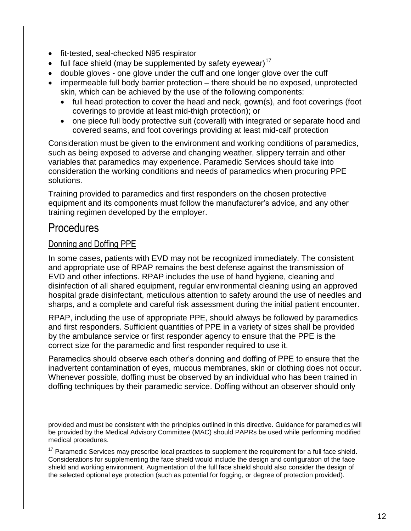- fit-tested, seal-checked N95 respirator
- full face shield (may be supplemented by safety eyewear)<sup>17</sup>
- double gloves one glove under the cuff and one longer glove over the cuff
- impermeable full body barrier protection there should be no exposed, unprotected skin, which can be achieved by the use of the following components:
	- full head protection to cover the head and neck, gown(s), and foot coverings (foot coverings to provide at least mid-thigh protection); or
	- one piece full body protective suit (coverall) with integrated or separate hood and covered seams, and foot coverings providing at least mid-calf protection

Consideration must be given to the environment and working conditions of paramedics, such as being exposed to adverse and changing weather, slippery terrain and other variables that paramedics may experience. Paramedic Services should take into consideration the working conditions and needs of paramedics when procuring PPE solutions.

Training provided to paramedics and first responders on the chosen protective equipment and its components must follow the manufacturer's advice, and any other training regimen developed by the employer.

## Procedures

 $\overline{a}$ 

## Donning and Doffing PPE

In some cases, patients with EVD may not be recognized immediately. The consistent and appropriate use of RPAP remains the best defense against the transmission of EVD and other infections. RPAP includes the use of hand hygiene, cleaning and disinfection of all shared equipment, regular environmental cleaning using an approved hospital grade disinfectant, meticulous attention to safety around the use of needles and sharps, and a complete and careful risk assessment during the initial patient encounter.

RPAP, including the use of appropriate PPE, should always be followed by paramedics and first responders. Sufficient quantities of PPE in a variety of sizes shall be provided by the ambulance service or first responder agency to ensure that the PPE is the correct size for the paramedic and first responder required to use it.

Paramedics should observe each other's donning and doffing of PPE to ensure that the inadvertent contamination of eyes, mucous membranes, skin or clothing does not occur. Whenever possible, doffing must be observed by an individual who has been trained in doffing techniques by their paramedic service. Doffing without an observer should only

provided and must be consistent with the principles outlined in this directive. Guidance for paramedics will be provided by the Medical Advisory Committee (MAC) should PAPRs be used while performing modified medical procedures.

<sup>&</sup>lt;sup>17</sup> Paramedic Services may prescribe local practices to supplement the requirement for a full face shield. Considerations for supplementing the face shield would include the design and configuration of the face shield and working environment. Augmentation of the full face shield should also consider the design of the selected optional eye protection (such as potential for fogging, or degree of protection provided).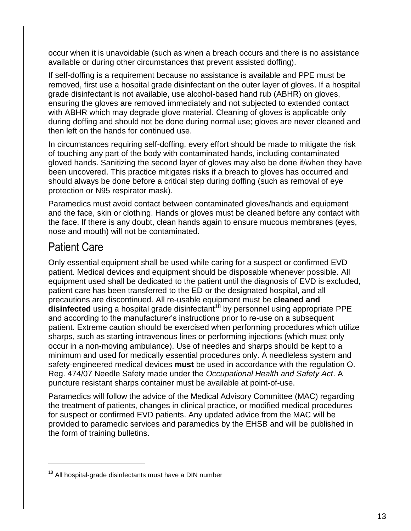occur when it is unavoidable (such as when a breach occurs and there is no assistance available or during other circumstances that prevent assisted doffing).

If self-doffing is a requirement because no assistance is available and PPE must be removed, first use a hospital grade disinfectant on the outer layer of gloves. If a hospital grade disinfectant is not available, use alcohol-based hand rub (ABHR) on gloves, ensuring the gloves are removed immediately and not subjected to extended contact with ABHR which may degrade glove material. Cleaning of gloves is applicable only during doffing and should not be done during normal use; gloves are never cleaned and then left on the hands for continued use.

In circumstances requiring self-doffing, every effort should be made to mitigate the risk of touching any part of the body with contaminated hands, including contaminated gloved hands. Sanitizing the second layer of gloves may also be done if/when they have been uncovered. This practice mitigates risks if a breach to gloves has occurred and should always be done before a critical step during doffing (such as removal of eye protection or N95 respirator mask).

Paramedics must avoid contact between contaminated gloves/hands and equipment and the face, skin or clothing. Hands or gloves must be cleaned before any contact with the face. If there is any doubt, clean hands again to ensure mucous membranes (eyes, nose and mouth) will not be contaminated.

# Patient Care

 $\overline{a}$ 

Only essential equipment shall be used while caring for a suspect or confirmed EVD patient. Medical devices and equipment should be disposable whenever possible. All equipment used shall be dedicated to the patient until the diagnosis of EVD is excluded, patient care has been transferred to the ED or the designated hospital, and all precautions are discontinued. All re-usable equipment must be **cleaned and disinfected** using a hospital grade disinfectant<sup>18</sup> by personnel using appropriate PPE and according to the manufacturer's instructions prior to re-use on a subsequent patient. Extreme caution should be exercised when performing procedures which utilize sharps, such as starting intravenous lines or performing injections (which must only occur in a non-moving ambulance). Use of needles and sharps should be kept to a minimum and used for medically essential procedures only. A needleless system and safety-engineered medical devices **must** be used in accordance with the regulation O. Reg. 474/07 Needle Safety made under the *Occupational Health and Safety Act*. A puncture resistant sharps container must be available at point-of-use.

Paramedics will follow the advice of the Medical Advisory Committee (MAC) regarding the treatment of patients, changes in clinical practice, or modified medical procedures for suspect or confirmed EVD patients. Any updated advice from the MAC will be provided to paramedic services and paramedics by the EHSB and will be published in the form of training bulletins.

 $18$  All hospital-grade disinfectants must have a DIN number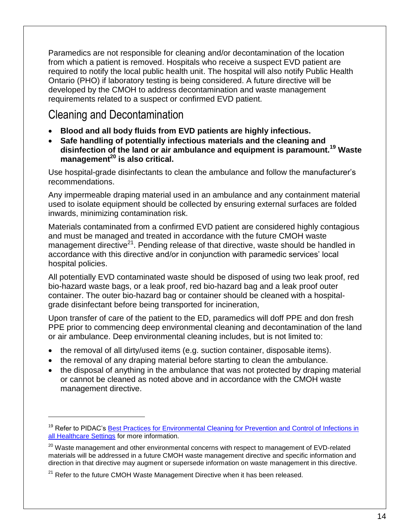Paramedics are not responsible for cleaning and/or decontamination of the location from which a patient is removed. Hospitals who receive a suspect EVD patient are required to notify the local public health unit. The hospital will also notify Public Health Ontario (PHO) if laboratory testing is being considered. A future directive will be developed by the CMOH to address decontamination and waste management requirements related to a suspect or confirmed EVD patient.

# Cleaning and Decontamination

 $\overline{a}$ 

- **Blood and all body fluids from EVD patients are highly infectious.**
- **Safe handling of potentially infectious materials and the cleaning and disinfection of the land or air ambulance and equipment is paramount.<sup>19</sup> Waste management<sup>20</sup> is also critical.**

Use hospital-grade disinfectants to clean the ambulance and follow the manufacturer's recommendations.

Any impermeable draping material used in an ambulance and any containment material used to isolate equipment should be collected by ensuring external surfaces are folded inwards, minimizing contamination risk.

Materials contaminated from a confirmed EVD patient are considered highly contagious and must be managed and treated in accordance with the future CMOH waste management directive<sup>21</sup>. Pending release of that directive, waste should be handled in accordance with this directive and/or in conjunction with paramedic services' local hospital policies.

All potentially EVD contaminated waste should be disposed of using two leak proof, red bio-hazard waste bags, or a leak proof, red bio-hazard bag and a leak proof outer container. The outer bio-hazard bag or container should be cleaned with a hospitalgrade disinfectant before being transported for incineration,

Upon transfer of care of the patient to the ED, paramedics will doff PPE and don fresh PPE prior to commencing deep environmental cleaning and decontamination of the land or air ambulance. Deep environmental cleaning includes, but is not limited to:

- the removal of all dirty/used items (e.g. suction container, disposable items).
- the removal of any draping material before starting to clean the ambulance.
- the disposal of anything in the ambulance that was not protected by draping material or cannot be cleaned as noted above and in accordance with the CMOH waste management directive.

<sup>&</sup>lt;sup>19</sup> Refer to PIDAC's Best Practices for Environmental Cleaning for Prevention and Control of Infections in [all Healthcare Settings](http://www.publichealthontario.ca/en/eRepository/best_practices_environmental_cleaning_2012.pdf) for more information.

<sup>&</sup>lt;sup>20</sup> Waste management and other environmental concerns with respect to management of EVD-related materials will be addressed in a future CMOH waste management directive and specific information and direction in that directive may augment or supersede information on waste management in this directive.

 $21$  Refer to the future CMOH Waste Management Directive when it has been released.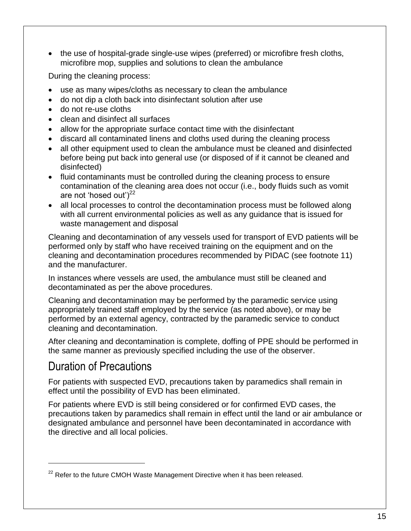the use of hospital-grade single-use wipes (preferred) or microfibre fresh cloths, microfibre mop, supplies and solutions to clean the ambulance

During the cleaning process:

- use as many wipes/cloths as necessary to clean the ambulance
- do not dip a cloth back into disinfectant solution after use
- do not re-use cloths
- clean and disinfect all surfaces
- allow for the appropriate surface contact time with the disinfectant
- discard all contaminated linens and cloths used during the cleaning process
- all other equipment used to clean the ambulance must be cleaned and disinfected before being put back into general use (or disposed of if it cannot be cleaned and disinfected)
- fluid contaminants must be controlled during the cleaning process to ensure contamination of the cleaning area does not occur (i.e., body fluids such as vomit are not 'hosed out' $)^{22}$
- all local processes to control the decontamination process must be followed along with all current environmental policies as well as any guidance that is issued for waste management and disposal

Cleaning and decontamination of any vessels used for transport of EVD patients will be performed only by staff who have received training on the equipment and on the cleaning and decontamination procedures recommended by PIDAC (see footnote 11) and the manufacturer.

In instances where vessels are used, the ambulance must still be cleaned and decontaminated as per the above procedures.

Cleaning and decontamination may be performed by the paramedic service using appropriately trained staff employed by the service (as noted above), or may be performed by an external agency, contracted by the paramedic service to conduct cleaning and decontamination.

After cleaning and decontamination is complete, doffing of PPE should be performed in the same manner as previously specified including the use of the observer.

## Duration of Precautions

 $\overline{a}$ 

For patients with suspected EVD, precautions taken by paramedics shall remain in effect until the possibility of EVD has been eliminated.

For patients where EVD is still being considered or for confirmed EVD cases, the precautions taken by paramedics shall remain in effect until the land or air ambulance or designated ambulance and personnel have been decontaminated in accordance with the directive and all local policies.

 $22$  Refer to the future CMOH Waste Management Directive when it has been released.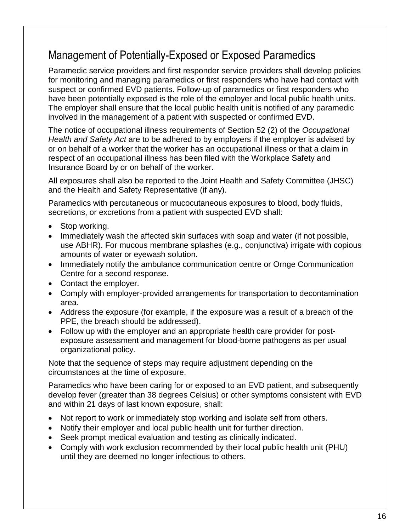# Management of Potentially-Exposed or Exposed Paramedics

Paramedic service providers and first responder service providers shall develop policies for monitoring and managing paramedics or first responders who have had contact with suspect or confirmed EVD patients. Follow-up of paramedics or first responders who have been potentially exposed is the role of the employer and local public health units. The employer shall ensure that the local public health unit is notified of any paramedic involved in the management of a patient with suspected or confirmed EVD.

The notice of occupational illness requirements of Section 52 (2) of the *Occupational Health and Safety Act* are to be adhered to by employers if the employer is advised by or on behalf of a worker that the worker has an occupational illness or that a claim in respect of an occupational illness has been filed with the Workplace Safety and Insurance Board by or on behalf of the worker.

All exposures shall also be reported to the Joint Health and Safety Committee (JHSC) and the Health and Safety Representative (if any).

Paramedics with percutaneous or mucocutaneous exposures to blood, body fluids, secretions, or excretions from a patient with suspected EVD shall:

- Stop working.
- Immediately wash the affected skin surfaces with soap and water (if not possible, use ABHR). For mucous membrane splashes (e.g., conjunctiva) irrigate with copious amounts of water or eyewash solution.
- Immediately notify the ambulance communication centre or Ornge Communication Centre for a second response.
- Contact the employer.
- Comply with employer-provided arrangements for transportation to decontamination area.
- Address the exposure (for example, if the exposure was a result of a breach of the PPE, the breach should be addressed).
- Follow up with the employer and an appropriate health care provider for postexposure assessment and management for blood-borne pathogens as per usual organizational policy.

Note that the sequence of steps may require adjustment depending on the circumstances at the time of exposure.

Paramedics who have been caring for or exposed to an EVD patient, and subsequently develop fever (greater than 38 degrees Celsius) or other symptoms consistent with EVD and within 21 days of last known exposure, shall:

- Not report to work or immediately stop working and isolate self from others.
- Notify their employer and local public health unit for further direction.
- Seek prompt medical evaluation and testing as clinically indicated.
- Comply with work exclusion recommended by their local public health unit (PHU) until they are deemed no longer infectious to others.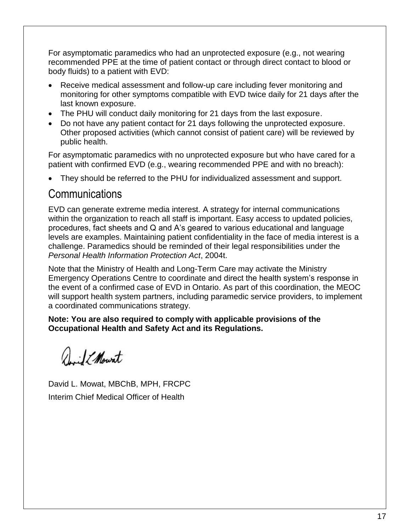For asymptomatic paramedics who had an unprotected exposure (e.g., not wearing recommended PPE at the time of patient contact or through direct contact to blood or body fluids) to a patient with EVD:

- Receive medical assessment and follow-up care including fever monitoring and monitoring for other symptoms compatible with EVD twice daily for 21 days after the last known exposure.
- The PHU will conduct daily monitoring for 21 days from the last exposure.
- Do not have any patient contact for 21 days following the unprotected exposure. Other proposed activities (which cannot consist of patient care) will be reviewed by public health.

For asymptomatic paramedics with no unprotected exposure but who have cared for a patient with confirmed EVD (e.g., wearing recommended PPE and with no breach):

They should be referred to the PHU for individualized assessment and support.

## **Communications**

EVD can generate extreme media interest. A strategy for internal communications within the organization to reach all staff is important. Easy access to updated policies, procedures, fact sheets and Q and A's geared to various educational and language levels are examples. Maintaining patient confidentiality in the face of media interest is a challenge. Paramedics should be reminded of their legal responsibilities under the *Personal Health Information Protection Act*, 2004t.

Note that the Ministry of Health and Long-Term Care may activate the Ministry Emergency Operations Centre to coordinate and direct the health system's response in the event of a confirmed case of EVD in Ontario. As part of this coordination, the MEOC will support health system partners, including paramedic service providers, to implement a coordinated communications strategy.

**Note: You are also required to comply with applicable provisions of the Occupational Health and Safety Act and its Regulations.**

D. Il Mourat

David L. Mowat, MBChB, MPH, FRCPC Interim Chief Medical Officer of Health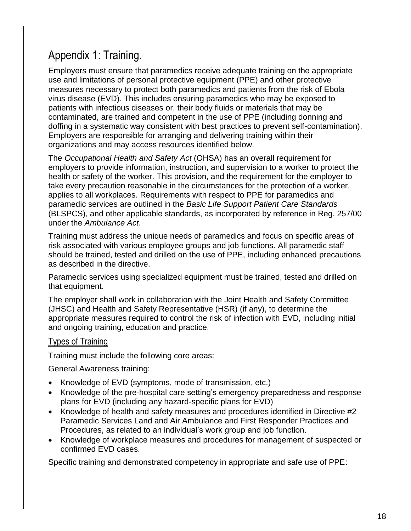# Appendix 1: Training.

Employers must ensure that paramedics receive adequate training on the appropriate use and limitations of personal protective equipment (PPE) and other protective measures necessary to protect both paramedics and patients from the risk of Ebola virus disease (EVD). This includes ensuring paramedics who may be exposed to patients with infectious diseases or, their body fluids or materials that may be contaminated, are trained and competent in the use of PPE (including donning and doffing in a systematic way consistent with best practices to prevent self-contamination). Employers are responsible for arranging and delivering training within their organizations and may access resources identified below.

The *Occupational Health and Safety Act* (OHSA) has an overall requirement for employers to provide information, instruction, and supervision to a worker to protect the health or safety of the worker. This provision, and the requirement for the employer to take every precaution reasonable in the circumstances for the protection of a worker, applies to all workplaces. Requirements with respect to PPE for paramedics and paramedic services are outlined in the *Basic Life Support Patient Care Standards* (BLSPCS), and other applicable standards, as incorporated by reference in Reg. 257/00 under the *Ambulance Act*.

Training must address the unique needs of paramedics and focus on specific areas of risk associated with various employee groups and job functions. All paramedic staff should be trained, tested and drilled on the use of PPE, including enhanced precautions as described in the directive.

Paramedic services using specialized equipment must be trained, tested and drilled on that equipment.

The employer shall work in collaboration with the Joint Health and Safety Committee (JHSC) and Health and Safety Representative (HSR) (if any), to determine the appropriate measures required to control the risk of infection with EVD, including initial and ongoing training, education and practice.

## Types of Training

Training must include the following core areas:

General Awareness training:

- Knowledge of EVD (symptoms, mode of transmission, etc.)
- Knowledge of the pre-hospital care setting's emergency preparedness and response plans for EVD (including any hazard-specific plans for EVD)
- Knowledge of health and safety measures and procedures identified in Directive #2 Paramedic Services Land and Air Ambulance and First Responder Practices and Procedures, as related to an individual's work group and job function.
- Knowledge of workplace measures and procedures for management of suspected or confirmed EVD cases.

Specific training and demonstrated competency in appropriate and safe use of PPE: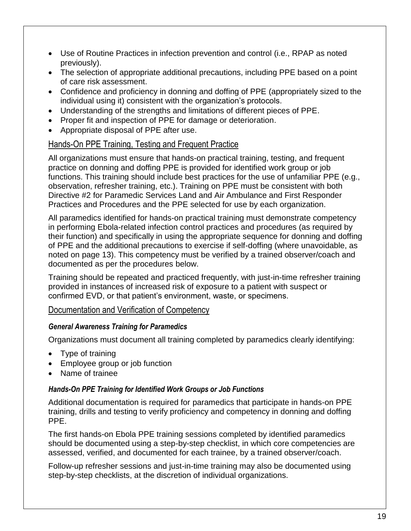- Use of Routine Practices in infection prevention and control (i.e., RPAP as noted previously).
- The selection of appropriate additional precautions, including PPE based on a point of care risk assessment.
- Confidence and proficiency in donning and doffing of PPE (appropriately sized to the individual using it) consistent with the organization's protocols.
- Understanding of the strengths and limitations of different pieces of PPE.
- Proper fit and inspection of PPE for damage or deterioration.
- Appropriate disposal of PPE after use.

## Hands-On PPE Training, Testing and Frequent Practice

All organizations must ensure that hands-on practical training, testing, and frequent practice on donning and doffing PPE is provided for identified work group or job functions. This training should include best practices for the use of unfamiliar PPE (e.g., observation, refresher training, etc.). Training on PPE must be consistent with both Directive #2 for Paramedic Services Land and Air Ambulance and First Responder Practices and Procedures and the PPE selected for use by each organization.

All paramedics identified for hands-on practical training must demonstrate competency in performing Ebola-related infection control practices and procedures (as required by their function) and specifically in using the appropriate sequence for donning and doffing of PPE and the additional precautions to exercise if self-doffing (where unavoidable, as noted on page 13). This competency must be verified by a trained observer/coach and documented as per the procedures below.

Training should be repeated and practiced frequently, with just-in-time refresher training provided in instances of increased risk of exposure to a patient with suspect or confirmed EVD, or that patient's environment, waste, or specimens.

### Documentation and Verification of Competency

### *General Awareness Training for Paramedics*

Organizations must document all training completed by paramedics clearly identifying:

- Type of training
- Employee group or job function
- Name of trainee

### *Hands-On PPE Training for Identified Work Groups or Job Functions*

Additional documentation is required for paramedics that participate in hands-on PPE training, drills and testing to verify proficiency and competency in donning and doffing PPE.

The first hands-on Ebola PPE training sessions completed by identified paramedics should be documented using a step-by-step checklist, in which core competencies are assessed, verified, and documented for each trainee, by a trained observer/coach.

Follow-up refresher sessions and just-in-time training may also be documented using step-by-step checklists, at the discretion of individual organizations.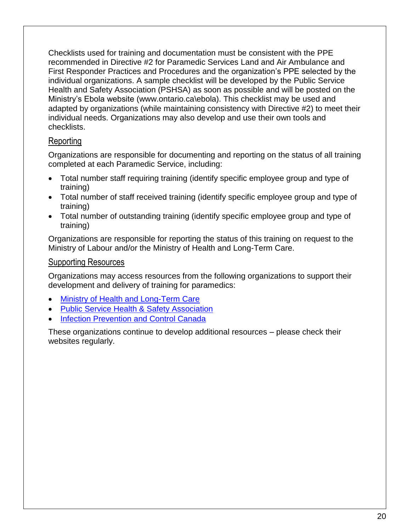Checklists used for training and documentation must be consistent with the PPE recommended in Directive #2 for Paramedic Services Land and Air Ambulance and First Responder Practices and Procedures and the organization's PPE selected by the individual organizations. A sample checklist will be developed by the Public Service Health and Safety Association (PSHSA) as soon as possible and will be posted on the Ministry's Ebola website (www.ontario.ca\ebola). This checklist may be used and adapted by organizations (while maintaining consistency with Directive #2) to meet their individual needs. Organizations may also develop and use their own tools and checklists.

### Reporting

Organizations are responsible for documenting and reporting on the status of all training completed at each Paramedic Service, including:

- Total number staff requiring training (identify specific employee group and type of training)
- Total number of staff received training (identify specific employee group and type of training)
- Total number of outstanding training (identify specific employee group and type of training)

Organizations are responsible for reporting the status of this training on request to the Ministry of Labour and/or the Ministry of Health and Long-Term Care.

### Supporting Resources

Organizations may access resources from the following organizations to support their development and delivery of training for paramedics:

- [Ministry of Health and Long-Term Care](http://www.ontario.ca/ebola)
- [Public Service Health & Safety Association](http://www.pshsa.ca/)
- [Infection Prevention and Control Canada](http://www.ipac-canada.org/)

These organizations continue to develop additional resources – please check their websites regularly.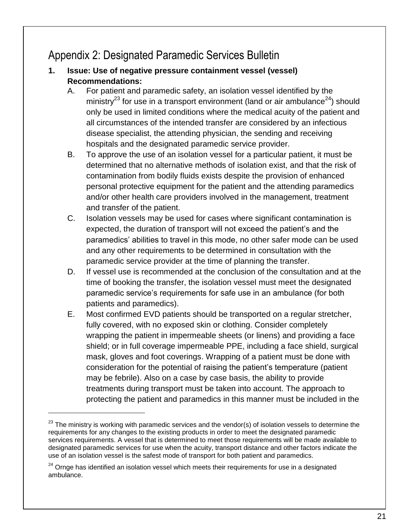# Appendix 2: Designated Paramedic Services Bulletin

### **1. Issue: Use of negative pressure containment vessel (vessel) Recommendations:**

- A. For patient and paramedic safety, an isolation vessel identified by the ministry<sup>23</sup> for use in a transport environment (land or air ambulance<sup>24</sup>) should only be used in limited conditions where the medical acuity of the patient and all circumstances of the intended transfer are considered by an infectious disease specialist, the attending physician, the sending and receiving hospitals and the designated paramedic service provider.
- B. To approve the use of an isolation vessel for a particular patient, it must be determined that no alternative methods of isolation exist, and that the risk of contamination from bodily fluids exists despite the provision of enhanced personal protective equipment for the patient and the attending paramedics and/or other health care providers involved in the management, treatment and transfer of the patient.
- C. Isolation vessels may be used for cases where significant contamination is expected, the duration of transport will not exceed the patient's and the paramedics' abilities to travel in this mode, no other safer mode can be used and any other requirements to be determined in consultation with the paramedic service provider at the time of planning the transfer.
- D. If vessel use is recommended at the conclusion of the consultation and at the time of booking the transfer, the isolation vessel must meet the designated paramedic service's requirements for safe use in an ambulance (for both patients and paramedics).
- E. Most confirmed EVD patients should be transported on a regular stretcher, fully covered, with no exposed skin or clothing. Consider completely wrapping the patient in impermeable sheets (or linens) and providing a face shield; or in full coverage impermeable PPE, including a face shield, surgical mask, gloves and foot coverings. Wrapping of a patient must be done with consideration for the potential of raising the patient's temperature (patient may be febrile). Also on a case by case basis, the ability to provide treatments during transport must be taken into account. The approach to protecting the patient and paramedics in this manner must be included in the

 $\overline{a}$ 

 $^{23}$  The ministry is working with paramedic services and the vendor(s) of isolation vessels to determine the requirements for any changes to the existing products in order to meet the designated paramedic services requirements. A vessel that is determined to meet those requirements will be made available to designated paramedic services for use when the acuity, transport distance and other factors indicate the use of an isolation vessel is the safest mode of transport for both patient and paramedics.

<sup>&</sup>lt;sup>24</sup> Ornge has identified an isolation vessel which meets their requirements for use in a designated ambulance.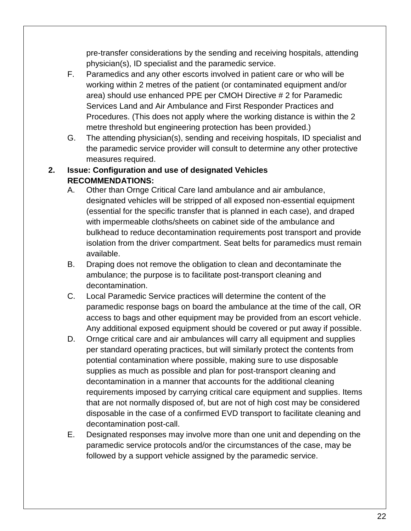pre-transfer considerations by the sending and receiving hospitals, attending physician(s), ID specialist and the paramedic service.

- F. Paramedics and any other escorts involved in patient care or who will be working within 2 metres of the patient (or contaminated equipment and/or area) should use enhanced PPE per CMOH Directive # 2 for Paramedic Services Land and Air Ambulance and First Responder Practices and Procedures. (This does not apply where the working distance is within the 2 metre threshold but engineering protection has been provided.)
- G. The attending physician(s), sending and receiving hospitals, ID specialist and the paramedic service provider will consult to determine any other protective measures required.

## **2. Issue: Configuration and use of designated Vehicles RECOMMENDATIONS:**

- A. Other than Ornge Critical Care land ambulance and air ambulance, designated vehicles will be stripped of all exposed non-essential equipment (essential for the specific transfer that is planned in each case), and draped with impermeable cloths/sheets on cabinet side of the ambulance and bulkhead to reduce decontamination requirements post transport and provide isolation from the driver compartment. Seat belts for paramedics must remain available.
- B. Draping does not remove the obligation to clean and decontaminate the ambulance; the purpose is to facilitate post-transport cleaning and decontamination.
- C. Local Paramedic Service practices will determine the content of the paramedic response bags on board the ambulance at the time of the call, OR access to bags and other equipment may be provided from an escort vehicle. Any additional exposed equipment should be covered or put away if possible.
- D. Ornge critical care and air ambulances will carry all equipment and supplies per standard operating practices, but will similarly protect the contents from potential contamination where possible, making sure to use disposable supplies as much as possible and plan for post-transport cleaning and decontamination in a manner that accounts for the additional cleaning requirements imposed by carrying critical care equipment and supplies. Items that are not normally disposed of, but are not of high cost may be considered disposable in the case of a confirmed EVD transport to facilitate cleaning and decontamination post-call.
- E. Designated responses may involve more than one unit and depending on the paramedic service protocols and/or the circumstances of the case, may be followed by a support vehicle assigned by the paramedic service.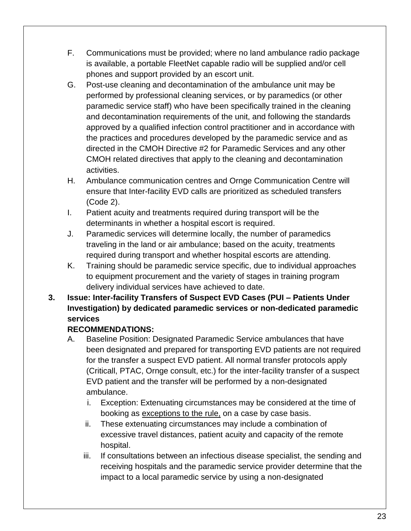- F. Communications must be provided; where no land ambulance radio package is available, a portable FleetNet capable radio will be supplied and/or cell phones and support provided by an escort unit.
- G. Post-use cleaning and decontamination of the ambulance unit may be performed by professional cleaning services, or by paramedics (or other paramedic service staff) who have been specifically trained in the cleaning and decontamination requirements of the unit, and following the standards approved by a qualified infection control practitioner and in accordance with the practices and procedures developed by the paramedic service and as directed in the CMOH Directive #2 for Paramedic Services and any other CMOH related directives that apply to the cleaning and decontamination activities.
- H. Ambulance communication centres and Ornge Communication Centre will ensure that Inter-facility EVD calls are prioritized as scheduled transfers (Code 2).
- I. Patient acuity and treatments required during transport will be the determinants in whether a hospital escort is required.
- J. Paramedic services will determine locally, the number of paramedics traveling in the land or air ambulance; based on the acuity, treatments required during transport and whether hospital escorts are attending.
- K. Training should be paramedic service specific, due to individual approaches to equipment procurement and the variety of stages in training program delivery individual services have achieved to date.
- **3. Issue: Inter-facility Transfers of Suspect EVD Cases (PUI – Patients Under Investigation) by dedicated paramedic services or non-dedicated paramedic services**

### **RECOMMENDATIONS:**

- A. Baseline Position: Designated Paramedic Service ambulances that have been designated and prepared for transporting EVD patients are not required for the transfer a suspect EVD patient. All normal transfer protocols apply (Criticall, PTAC, Ornge consult, etc.) for the inter-facility transfer of a suspect EVD patient and the transfer will be performed by a non-designated ambulance.
	- i. Exception: Extenuating circumstances may be considered at the time of booking as exceptions to the rule, on a case by case basis.
	- ii. These extenuating circumstances may include a combination of excessive travel distances, patient acuity and capacity of the remote hospital.
	- iii. If consultations between an infectious disease specialist, the sending and receiving hospitals and the paramedic service provider determine that the impact to a local paramedic service by using a non-designated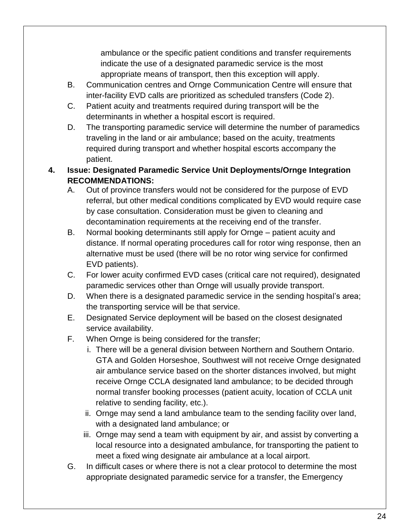ambulance or the specific patient conditions and transfer requirements indicate the use of a designated paramedic service is the most appropriate means of transport, then this exception will apply.

- B. Communication centres and Ornge Communication Centre will ensure that inter-facility EVD calls are prioritized as scheduled transfers (Code 2).
- C. Patient acuity and treatments required during transport will be the determinants in whether a hospital escort is required.
- D. The transporting paramedic service will determine the number of paramedics traveling in the land or air ambulance; based on the acuity, treatments required during transport and whether hospital escorts accompany the patient.

## **4. Issue: Designated Paramedic Service Unit Deployments/Ornge Integration RECOMMENDATIONS:**

- A. Out of province transfers would not be considered for the purpose of EVD referral, but other medical conditions complicated by EVD would require case by case consultation. Consideration must be given to cleaning and decontamination requirements at the receiving end of the transfer.
- B. Normal booking determinants still apply for Ornge patient acuity and distance. If normal operating procedures call for rotor wing response, then an alternative must be used (there will be no rotor wing service for confirmed EVD patients).
- C. For lower acuity confirmed EVD cases (critical care not required), designated paramedic services other than Ornge will usually provide transport.
- D. When there is a designated paramedic service in the sending hospital's area; the transporting service will be that service.
- E. Designated Service deployment will be based on the closest designated service availability.
- F. When Ornge is being considered for the transfer;
	- i. There will be a general division between Northern and Southern Ontario. GTA and Golden Horseshoe, Southwest will not receive Ornge designated air ambulance service based on the shorter distances involved, but might receive Ornge CCLA designated land ambulance; to be decided through normal transfer booking processes (patient acuity, location of CCLA unit relative to sending facility, etc.).
	- ii. Ornge may send a land ambulance team to the sending facility over land, with a designated land ambulance; or
	- iii. Ornge may send a team with equipment by air, and assist by converting a local resource into a designated ambulance, for transporting the patient to meet a fixed wing designate air ambulance at a local airport.
- G. In difficult cases or where there is not a clear protocol to determine the most appropriate designated paramedic service for a transfer, the Emergency